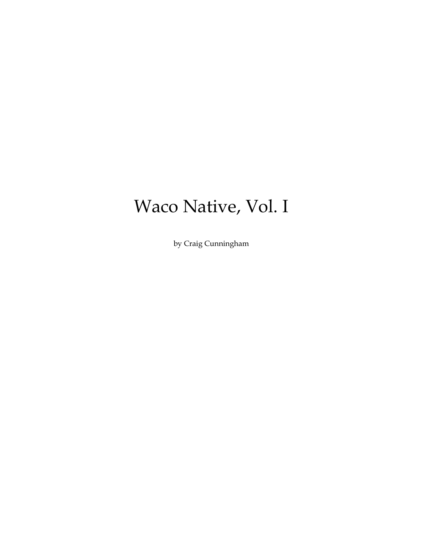# Waco Native, Vol. I

by Craig Cunningham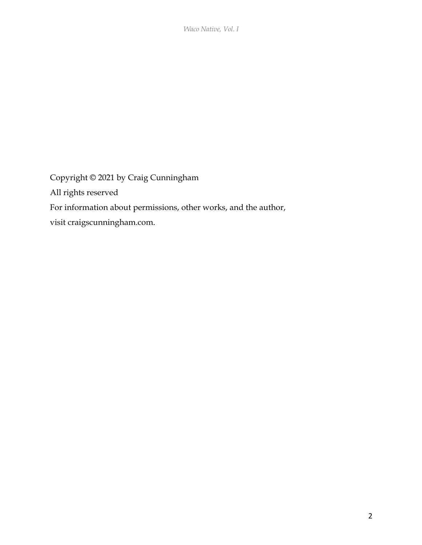*Waco Native, Vol. I*

Copyright © 2021 by Craig Cunningham All rights reserved For information about permissions, other works, and the author, visit craigscunningham.com.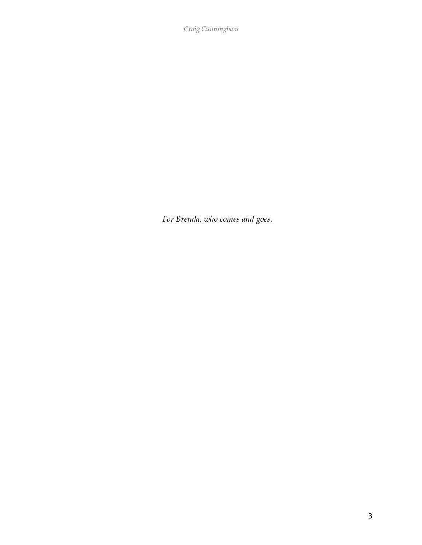*Craig Cunningham*

*For Brenda, who comes and goes.*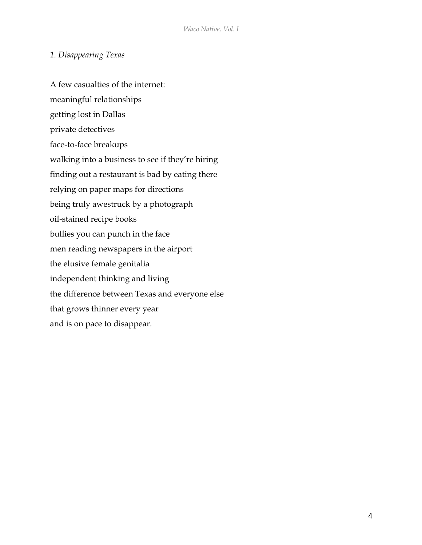# *1. Disappearing Texas*

A few casualties of the internet: meaningful relationships getting lost in Dallas private detectives face-to-face breakups walking into a business to see if they're hiring finding out a restaurant is bad by eating there relying on paper maps for directions being truly awestruck by a photograph oil-stained recipe books bullies you can punch in the face men reading newspapers in the airport the elusive female genitalia independent thinking and living the difference between Texas and everyone else that grows thinner every year and is on pace to disappear.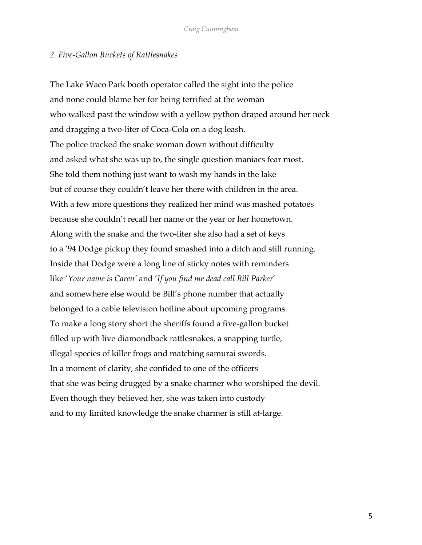## *2. Five-Gallon Buckets of Rattlesnakes*

The Lake Waco Park booth operator called the sight into the police and none could blame her for being terrified at the woman who walked past the window with a yellow python draped around her neck and dragging a two-liter of Coca-Cola on a dog leash. The police tracked the snake woman down without difficulty and asked what she was up to, the single question maniacs fear most. She told them nothing just want to wash my hands in the lake but of course they couldn't leave her there with children in the area. With a few more questions they realized her mind was mashed potatoes because she couldn't recall her name or the year or her hometown. Along with the snake and the two-liter she also had a set of keys to a '94 Dodge pickup they found smashed into a ditch and still running. Inside that Dodge were a long line of sticky notes with reminders like '*Your name is Caren'* and '*If you find me dead call Bill Parker*' and somewhere else would be Bill's phone number that actually belonged to a cable television hotline about upcoming programs. To make a long story short the sheriffs found a five-gallon bucket filled up with live diamondback rattlesnakes, a snapping turtle, illegal species of killer frogs and matching samurai swords. In a moment of clarity, she confided to one of the officers that she was being drugged by a snake charmer who worshiped the devil. Even though they believed her, she was taken into custody and to my limited knowledge the snake charmer is still at-large.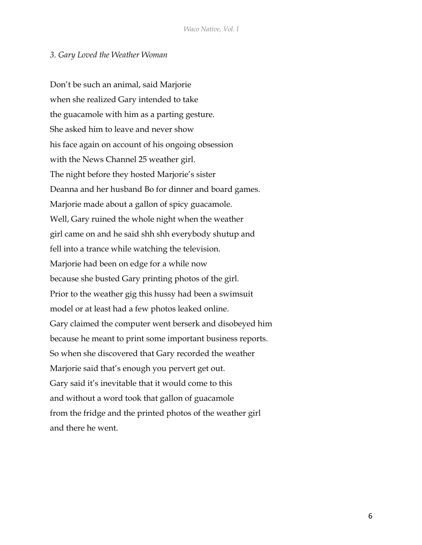#### *3. Gary Loved the Weather Woman*

Don't be such an animal, said Marjorie when she realized Gary intended to take the guacamole with him as a parting gesture. She asked him to leave and never show his face again on account of his ongoing obsession with the News Channel 25 weather girl. The night before they hosted Marjorie's sister Deanna and her husband Bo for dinner and board games. Marjorie made about a gallon of spicy guacamole. Well, Gary ruined the whole night when the weather girl came on and he said shh shh everybody shutup and fell into a trance while watching the television. Marjorie had been on edge for a while now because she busted Gary printing photos of the girl. Prior to the weather gig this hussy had been a swimsuit model or at least had a few photos leaked online. Gary claimed the computer went berserk and disobeyed him because he meant to print some important business reports. So when she discovered that Gary recorded the weather Marjorie said that's enough you pervert get out. Gary said it's inevitable that it would come to this and without a word took that gallon of guacamole from the fridge and the printed photos of the weather girl and there he went.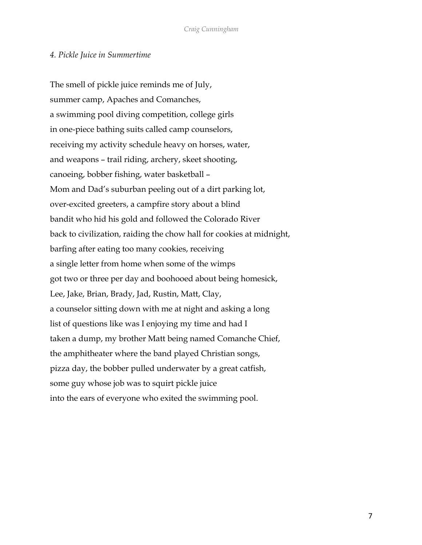## *4. Pickle Juice in Summertime*

The smell of pickle juice reminds me of July, summer camp, Apaches and Comanches, a swimming pool diving competition, college girls in one-piece bathing suits called camp counselors, receiving my activity schedule heavy on horses, water, and weapons – trail riding, archery, skeet shooting, canoeing, bobber fishing, water basketball – Mom and Dad's suburban peeling out of a dirt parking lot, over-excited greeters, a campfire story about a blind bandit who hid his gold and followed the Colorado River back to civilization, raiding the chow hall for cookies at midnight, barfing after eating too many cookies, receiving a single letter from home when some of the wimps got two or three per day and boohooed about being homesick, Lee, Jake, Brian, Brady, Jad, Rustin, Matt, Clay, a counselor sitting down with me at night and asking a long list of questions like was I enjoying my time and had I taken a dump, my brother Matt being named Comanche Chief, the amphitheater where the band played Christian songs, pizza day, the bobber pulled underwater by a great catfish, some guy whose job was to squirt pickle juice into the ears of everyone who exited the swimming pool.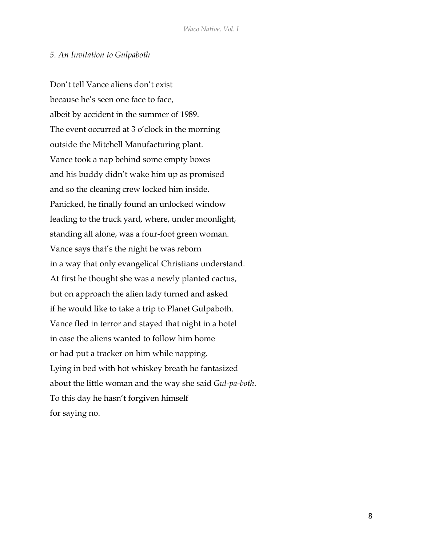## *5. An Invitation to Gulpaboth*

Don't tell Vance aliens don't exist because he's seen one face to face, albeit by accident in the summer of 1989. The event occurred at 3 o'clock in the morning outside the Mitchell Manufacturing plant. Vance took a nap behind some empty boxes and his buddy didn't wake him up as promised and so the cleaning crew locked him inside. Panicked, he finally found an unlocked window leading to the truck yard, where, under moonlight, standing all alone, was a four-foot green woman. Vance says that's the night he was reborn in a way that only evangelical Christians understand. At first he thought she was a newly planted cactus, but on approach the alien lady turned and asked if he would like to take a trip to Planet Gulpaboth. Vance fled in terror and stayed that night in a hotel in case the aliens wanted to follow him home or had put a tracker on him while napping. Lying in bed with hot whiskey breath he fantasized about the little woman and the way she said *Gul-pa-both*. To this day he hasn't forgiven himself for saying no.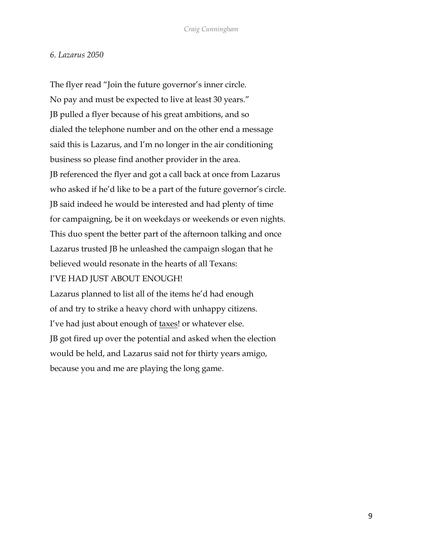## *6. Lazarus 2050*

The flyer read "Join the future governor's inner circle. No pay and must be expected to live at least 30 years." JB pulled a flyer because of his great ambitions, and so dialed the telephone number and on the other end a message said this is Lazarus, and I'm no longer in the air conditioning business so please find another provider in the area. JB referenced the flyer and got a call back at once from Lazarus who asked if he'd like to be a part of the future governor's circle. JB said indeed he would be interested and had plenty of time for campaigning, be it on weekdays or weekends or even nights. This duo spent the better part of the afternoon talking and once Lazarus trusted JB he unleashed the campaign slogan that he believed would resonate in the hearts of all Texans: I'VE HAD JUST ABOUT ENOUGH!

Lazarus planned to list all of the items he'd had enough of and try to strike a heavy chord with unhappy citizens. I've had just about enough of taxes! or whatever else. JB got fired up over the potential and asked when the election would be held, and Lazarus said not for thirty years amigo, because you and me are playing the long game.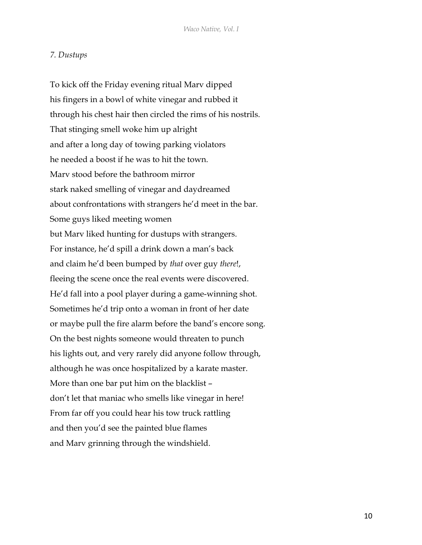## *7. Dustups*

To kick off the Friday evening ritual Marv dipped his fingers in a bowl of white vinegar and rubbed it through his chest hair then circled the rims of his nostrils. That stinging smell woke him up alright and after a long day of towing parking violators he needed a boost if he was to hit the town. Marv stood before the bathroom mirror stark naked smelling of vinegar and daydreamed about confrontations with strangers he'd meet in the bar. Some guys liked meeting women but Marv liked hunting for dustups with strangers. For instance, he'd spill a drink down a man's back and claim he'd been bumped by *that* over guy *there*!, fleeing the scene once the real events were discovered. He'd fall into a pool player during a game-winning shot. Sometimes he'd trip onto a woman in front of her date or maybe pull the fire alarm before the band's encore song. On the best nights someone would threaten to punch his lights out, and very rarely did anyone follow through, although he was once hospitalized by a karate master. More than one bar put him on the blacklist – don't let that maniac who smells like vinegar in here! From far off you could hear his tow truck rattling and then you'd see the painted blue flames and Marv grinning through the windshield.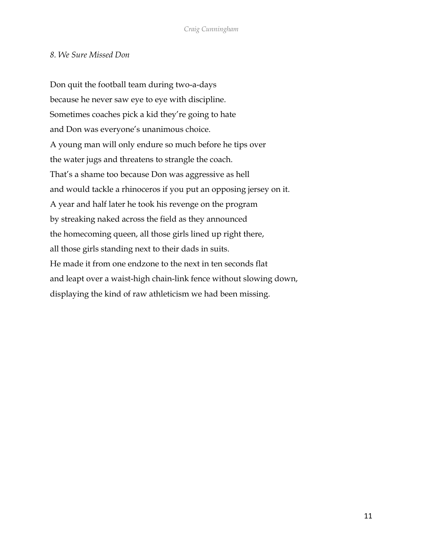## *8. We Sure Missed Don*

Don quit the football team during two-a-days because he never saw eye to eye with discipline. Sometimes coaches pick a kid they're going to hate and Don was everyone's unanimous choice. A young man will only endure so much before he tips over the water jugs and threatens to strangle the coach. That's a shame too because Don was aggressive as hell and would tackle a rhinoceros if you put an opposing jersey on it. A year and half later he took his revenge on the program by streaking naked across the field as they announced the homecoming queen, all those girls lined up right there, all those girls standing next to their dads in suits. He made it from one endzone to the next in ten seconds flat and leapt over a waist-high chain-link fence without slowing down, displaying the kind of raw athleticism we had been missing.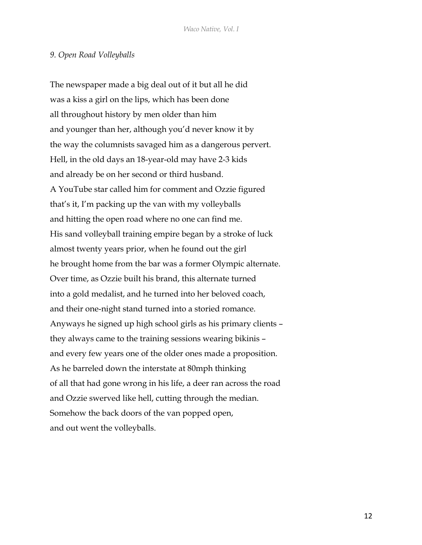#### *9. Open Road Volleyballs*

The newspaper made a big deal out of it but all he did was a kiss a girl on the lips, which has been done all throughout history by men older than him and younger than her, although you'd never know it by the way the columnists savaged him as a dangerous pervert. Hell, in the old days an 18-year-old may have 2-3 kids and already be on her second or third husband. A YouTube star called him for comment and Ozzie figured that's it, I'm packing up the van with my volleyballs and hitting the open road where no one can find me. His sand volleyball training empire began by a stroke of luck almost twenty years prior, when he found out the girl he brought home from the bar was a former Olympic alternate. Over time, as Ozzie built his brand, this alternate turned into a gold medalist, and he turned into her beloved coach, and their one-night stand turned into a storied romance. Anyways he signed up high school girls as his primary clients – they always came to the training sessions wearing bikinis – and every few years one of the older ones made a proposition. As he barreled down the interstate at 80mph thinking of all that had gone wrong in his life, a deer ran across the road and Ozzie swerved like hell, cutting through the median. Somehow the back doors of the van popped open, and out went the volleyballs.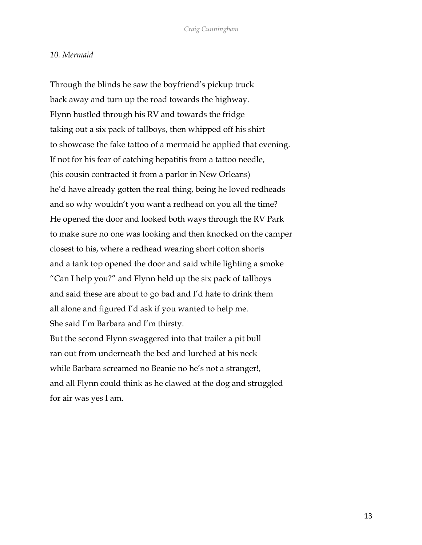#### *10. Mermaid*

Through the blinds he saw the boyfriend's pickup truck back away and turn up the road towards the highway. Flynn hustled through his RV and towards the fridge taking out a six pack of tallboys, then whipped off his shirt to showcase the fake tattoo of a mermaid he applied that evening. If not for his fear of catching hepatitis from a tattoo needle, (his cousin contracted it from a parlor in New Orleans) he'd have already gotten the real thing, being he loved redheads and so why wouldn't you want a redhead on you all the time? He opened the door and looked both ways through the RV Park to make sure no one was looking and then knocked on the camper closest to his, where a redhead wearing short cotton shorts and a tank top opened the door and said while lighting a smoke "Can I help you?" and Flynn held up the six pack of tallboys and said these are about to go bad and I'd hate to drink them all alone and figured I'd ask if you wanted to help me. She said I'm Barbara and I'm thirsty. But the second Flynn swaggered into that trailer a pit bull ran out from underneath the bed and lurched at his neck while Barbara screamed no Beanie no he's not a stranger!, and all Flynn could think as he clawed at the dog and struggled

for air was yes I am.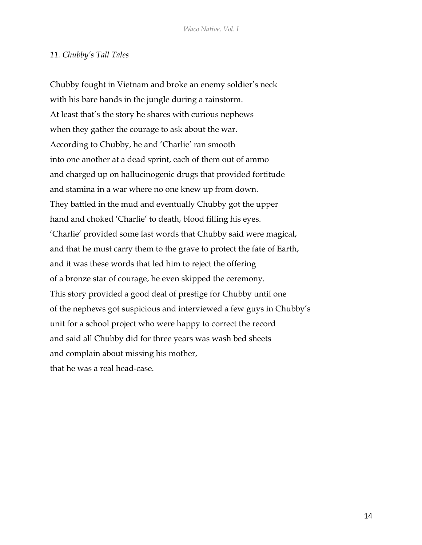#### *11. Chubby's Tall Tales*

Chubby fought in Vietnam and broke an enemy soldier's neck with his bare hands in the jungle during a rainstorm. At least that's the story he shares with curious nephews when they gather the courage to ask about the war. According to Chubby, he and 'Charlie' ran smooth into one another at a dead sprint, each of them out of ammo and charged up on hallucinogenic drugs that provided fortitude and stamina in a war where no one knew up from down. They battled in the mud and eventually Chubby got the upper hand and choked 'Charlie' to death, blood filling his eyes. 'Charlie' provided some last words that Chubby said were magical, and that he must carry them to the grave to protect the fate of Earth, and it was these words that led him to reject the offering of a bronze star of courage, he even skipped the ceremony. This story provided a good deal of prestige for Chubby until one of the nephews got suspicious and interviewed a few guys in Chubby's unit for a school project who were happy to correct the record and said all Chubby did for three years was wash bed sheets and complain about missing his mother, that he was a real head-case.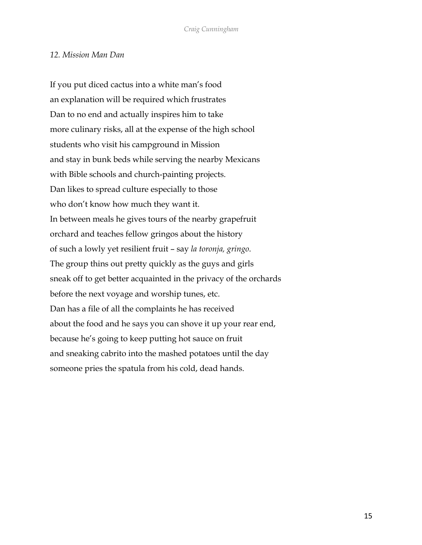## *12. Mission Man Dan*

If you put diced cactus into a white man's food an explanation will be required which frustrates Dan to no end and actually inspires him to take more culinary risks, all at the expense of the high school students who visit his campground in Mission and stay in bunk beds while serving the nearby Mexicans with Bible schools and church-painting projects. Dan likes to spread culture especially to those who don't know how much they want it. In between meals he gives tours of the nearby grapefruit orchard and teaches fellow gringos about the history of such a lowly yet resilient fruit – say *la toronja, gringo*. The group thins out pretty quickly as the guys and girls sneak off to get better acquainted in the privacy of the orchards before the next voyage and worship tunes, etc. Dan has a file of all the complaints he has received about the food and he says you can shove it up your rear end, because he's going to keep putting hot sauce on fruit and sneaking cabrito into the mashed potatoes until the day someone pries the spatula from his cold, dead hands.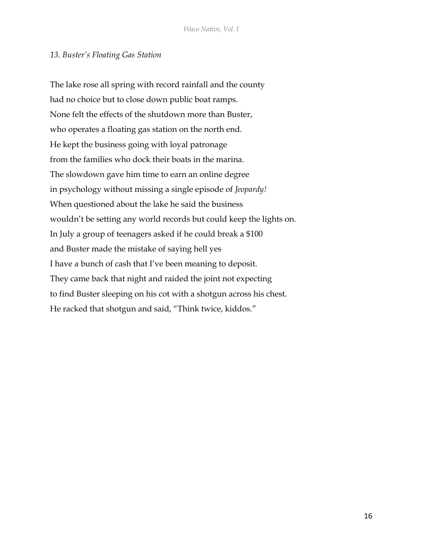## *13. Buster's Floating Gas Station*

The lake rose all spring with record rainfall and the county had no choice but to close down public boat ramps. None felt the effects of the shutdown more than Buster, who operates a floating gas station on the north end. He kept the business going with loyal patronage from the families who dock their boats in the marina. The slowdown gave him time to earn an online degree in psychology without missing a single episode of *Jeopardy!* When questioned about the lake he said the business wouldn't be setting any world records but could keep the lights on. In July a group of teenagers asked if he could break a \$100 and Buster made the mistake of saying hell yes I have a bunch of cash that I've been meaning to deposit. They came back that night and raided the joint not expecting to find Buster sleeping on his cot with a shotgun across his chest. He racked that shotgun and said, "Think twice, kiddos."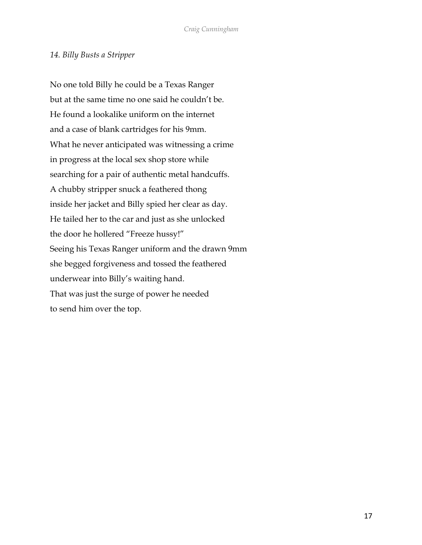# *14. Billy Busts a Stripper*

No one told Billy he could be a Texas Ranger but at the same time no one said he couldn't be. He found a lookalike uniform on the internet and a case of blank cartridges for his 9mm. What he never anticipated was witnessing a crime in progress at the local sex shop store while searching for a pair of authentic metal handcuffs. A chubby stripper snuck a feathered thong inside her jacket and Billy spied her clear as day. He tailed her to the car and just as she unlocked the door he hollered "Freeze hussy!" Seeing his Texas Ranger uniform and the drawn 9mm she begged forgiveness and tossed the feathered underwear into Billy's waiting hand. That was just the surge of power he needed to send him over the top.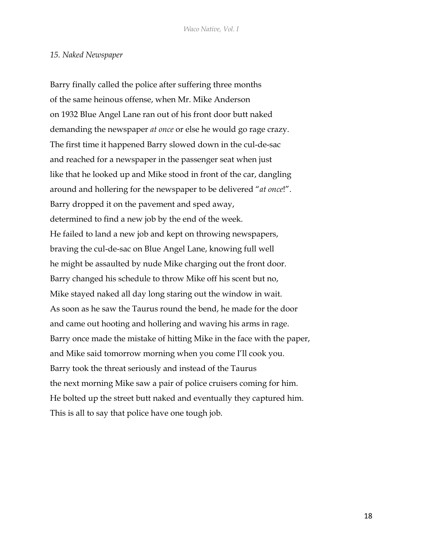#### *15. Naked Newspaper*

Barry finally called the police after suffering three months of the same heinous offense, when Mr. Mike Anderson on 1932 Blue Angel Lane ran out of his front door butt naked demanding the newspaper *at once* or else he would go rage crazy. The first time it happened Barry slowed down in the cul-de-sac and reached for a newspaper in the passenger seat when just like that he looked up and Mike stood in front of the car, dangling around and hollering for the newspaper to be delivered "*at once*!". Barry dropped it on the pavement and sped away, determined to find a new job by the end of the week. He failed to land a new job and kept on throwing newspapers, braving the cul-de-sac on Blue Angel Lane, knowing full well he might be assaulted by nude Mike charging out the front door. Barry changed his schedule to throw Mike off his scent but no, Mike stayed naked all day long staring out the window in wait. As soon as he saw the Taurus round the bend, he made for the door and came out hooting and hollering and waving his arms in rage. Barry once made the mistake of hitting Mike in the face with the paper, and Mike said tomorrow morning when you come I'll cook you. Barry took the threat seriously and instead of the Taurus the next morning Mike saw a pair of police cruisers coming for him. He bolted up the street butt naked and eventually they captured him. This is all to say that police have one tough job.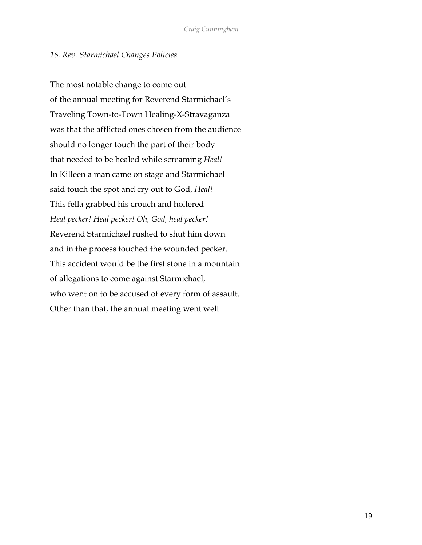# *16. Rev. Starmichael Changes Policies*

The most notable change to come out of the annual meeting for Reverend Starmichael's Traveling Town-to-Town Healing-X-Stravaganza was that the afflicted ones chosen from the audience should no longer touch the part of their body that needed to be healed while screaming *Heal!* In Killeen a man came on stage and Starmichael said touch the spot and cry out to God, *Heal!* This fella grabbed his crouch and hollered *Heal pecker! Heal pecker! Oh, God, heal pecker!* Reverend Starmichael rushed to shut him down and in the process touched the wounded pecker. This accident would be the first stone in a mountain of allegations to come against Starmichael, who went on to be accused of every form of assault. Other than that, the annual meeting went well.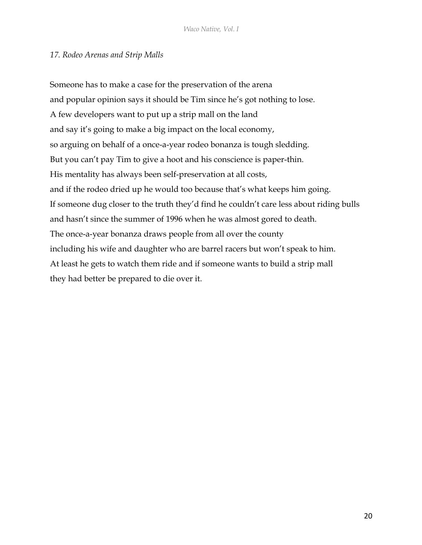# *17. Rodeo Arenas and Strip Malls*

Someone has to make a case for the preservation of the arena and popular opinion says it should be Tim since he's got nothing to lose. A few developers want to put up a strip mall on the land and say it's going to make a big impact on the local economy, so arguing on behalf of a once-a-year rodeo bonanza is tough sledding. But you can't pay Tim to give a hoot and his conscience is paper-thin. His mentality has always been self-preservation at all costs, and if the rodeo dried up he would too because that's what keeps him going. If someone dug closer to the truth they'd find he couldn't care less about riding bulls and hasn't since the summer of 1996 when he was almost gored to death. The once-a-year bonanza draws people from all over the county including his wife and daughter who are barrel racers but won't speak to him. At least he gets to watch them ride and if someone wants to build a strip mall they had better be prepared to die over it.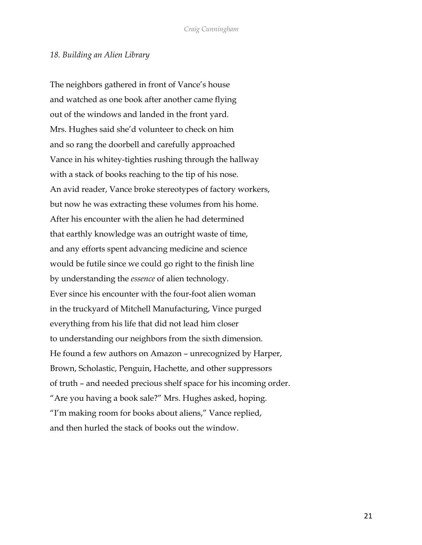#### *18. Building an Alien Library*

The neighbors gathered in front of Vance's house and watched as one book after another came flying out of the windows and landed in the front yard. Mrs. Hughes said she'd volunteer to check on him and so rang the doorbell and carefully approached Vance in his whitey-tighties rushing through the hallway with a stack of books reaching to the tip of his nose. An avid reader, Vance broke stereotypes of factory workers, but now he was extracting these volumes from his home. After his encounter with the alien he had determined that earthly knowledge was an outright waste of time, and any efforts spent advancing medicine and science would be futile since we could go right to the finish line by understanding the *essence* of alien technology. Ever since his encounter with the four-foot alien woman in the truckyard of Mitchell Manufacturing, Vince purged everything from his life that did not lead him closer to understanding our neighbors from the sixth dimension. He found a few authors on Amazon – unrecognized by Harper, Brown, Scholastic, Penguin, Hachette, and other suppressors of truth – and needed precious shelf space for his incoming order. "Are you having a book sale?" Mrs. Hughes asked, hoping. "I'm making room for books about aliens," Vance replied, and then hurled the stack of books out the window.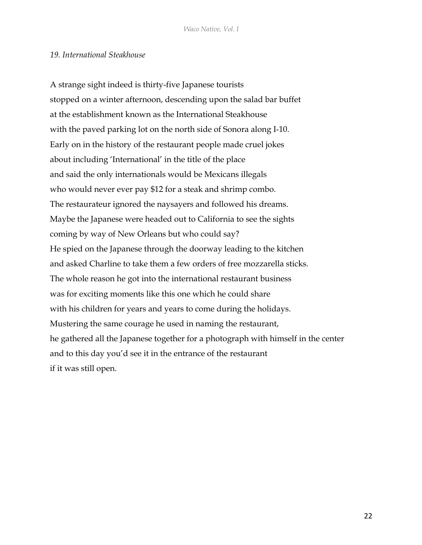#### *19. International Steakhouse*

A strange sight indeed is thirty-five Japanese tourists stopped on a winter afternoon, descending upon the salad bar buffet at the establishment known as the International Steakhouse with the paved parking lot on the north side of Sonora along I-10. Early on in the history of the restaurant people made cruel jokes about including 'International' in the title of the place and said the only internationals would be Mexicans illegals who would never ever pay \$12 for a steak and shrimp combo. The restaurateur ignored the naysayers and followed his dreams. Maybe the Japanese were headed out to California to see the sights coming by way of New Orleans but who could say? He spied on the Japanese through the doorway leading to the kitchen and asked Charline to take them a few orders of free mozzarella sticks. The whole reason he got into the international restaurant business was for exciting moments like this one which he could share with his children for years and years to come during the holidays. Mustering the same courage he used in naming the restaurant, he gathered all the Japanese together for a photograph with himself in the center and to this day you'd see it in the entrance of the restaurant if it was still open.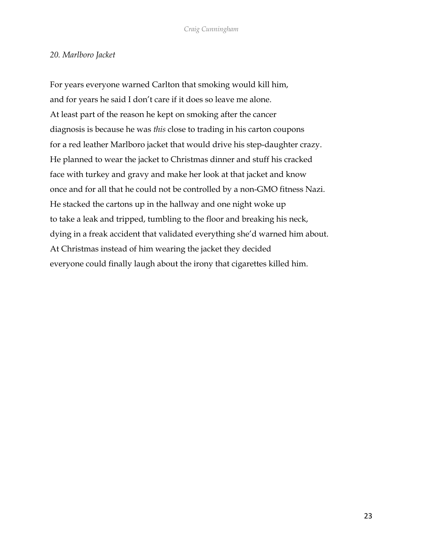## *20. Marlboro Jacket*

For years everyone warned Carlton that smoking would kill him, and for years he said I don't care if it does so leave me alone. At least part of the reason he kept on smoking after the cancer diagnosis is because he was *this* close to trading in his carton coupons for a red leather Marlboro jacket that would drive his step-daughter crazy. He planned to wear the jacket to Christmas dinner and stuff his cracked face with turkey and gravy and make her look at that jacket and know once and for all that he could not be controlled by a non-GMO fitness Nazi. He stacked the cartons up in the hallway and one night woke up to take a leak and tripped, tumbling to the floor and breaking his neck, dying in a freak accident that validated everything she'd warned him about. At Christmas instead of him wearing the jacket they decided everyone could finally laugh about the irony that cigarettes killed him.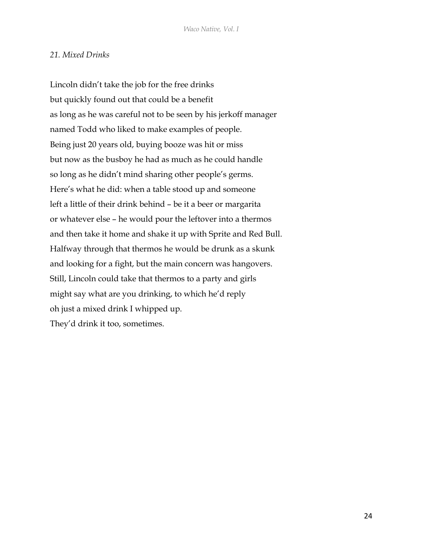# *21. Mixed Drinks*

Lincoln didn't take the job for the free drinks but quickly found out that could be a benefit as long as he was careful not to be seen by his jerkoff manager named Todd who liked to make examples of people. Being just 20 years old, buying booze was hit or miss but now as the busboy he had as much as he could handle so long as he didn't mind sharing other people's germs. Here's what he did: when a table stood up and someone left a little of their drink behind – be it a beer or margarita or whatever else – he would pour the leftover into a thermos and then take it home and shake it up with Sprite and Red Bull. Halfway through that thermos he would be drunk as a skunk and looking for a fight, but the main concern was hangovers. Still, Lincoln could take that thermos to a party and girls might say what are you drinking, to which he'd reply oh just a mixed drink I whipped up. They'd drink it too, sometimes.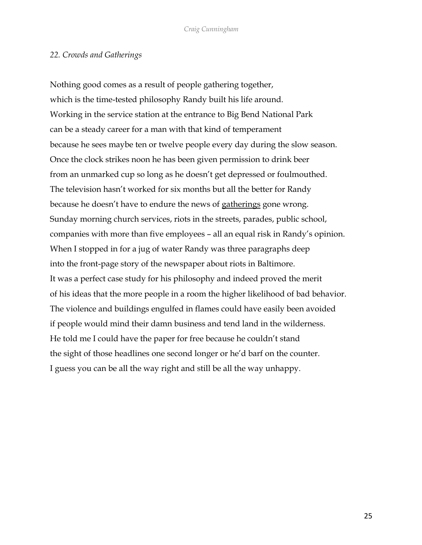## *22. Crowds and Gatherings*

Nothing good comes as a result of people gathering together, which is the time-tested philosophy Randy built his life around. Working in the service station at the entrance to Big Bend National Park can be a steady career for a man with that kind of temperament because he sees maybe ten or twelve people every day during the slow season. Once the clock strikes noon he has been given permission to drink beer from an unmarked cup so long as he doesn't get depressed or foulmouthed. The television hasn't worked for six months but all the better for Randy because he doesn't have to endure the news of gatherings gone wrong. Sunday morning church services, riots in the streets, parades, public school, companies with more than five employees – all an equal risk in Randy's opinion. When I stopped in for a jug of water Randy was three paragraphs deep into the front-page story of the newspaper about riots in Baltimore. It was a perfect case study for his philosophy and indeed proved the merit of his ideas that the more people in a room the higher likelihood of bad behavior. The violence and buildings engulfed in flames could have easily been avoided if people would mind their damn business and tend land in the wilderness. He told me I could have the paper for free because he couldn't stand the sight of those headlines one second longer or he'd barf on the counter. I guess you can be all the way right and still be all the way unhappy.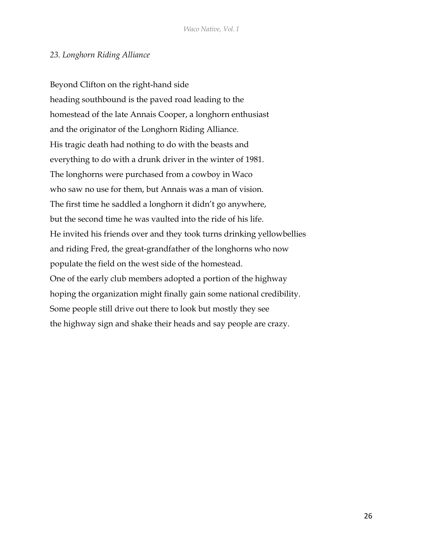# *23. Longhorn Riding Alliance*

Beyond Clifton on the right-hand side heading southbound is the paved road leading to the homestead of the late Annais Cooper, a longhorn enthusiast and the originator of the Longhorn Riding Alliance. His tragic death had nothing to do with the beasts and everything to do with a drunk driver in the winter of 1981. The longhorns were purchased from a cowboy in Waco who saw no use for them, but Annais was a man of vision. The first time he saddled a longhorn it didn't go anywhere, but the second time he was vaulted into the ride of his life. He invited his friends over and they took turns drinking yellowbellies and riding Fred, the great-grandfather of the longhorns who now populate the field on the west side of the homestead. One of the early club members adopted a portion of the highway hoping the organization might finally gain some national credibility. Some people still drive out there to look but mostly they see the highway sign and shake their heads and say people are crazy.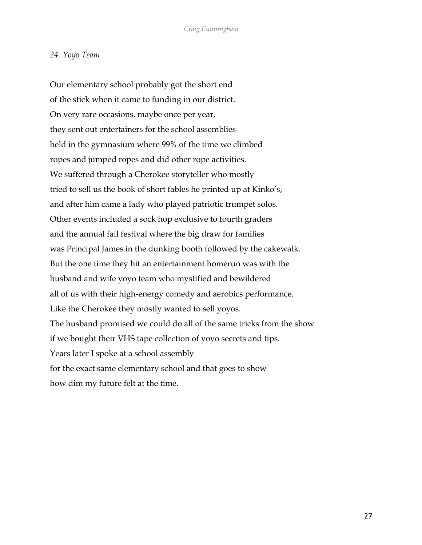#### *24. Yoyo Team*

Our elementary school probably got the short end of the stick when it came to funding in our district. On very rare occasions, maybe once per year, they sent out entertainers for the school assemblies held in the gymnasium where 99% of the time we climbed ropes and jumped ropes and did other rope activities. We suffered through a Cherokee storyteller who mostly tried to sell us the book of short fables he printed up at Kinko's, and after him came a lady who played patriotic trumpet solos. Other events included a sock hop exclusive to fourth graders and the annual fall festival where the big draw for families was Principal James in the dunking booth followed by the cakewalk. But the one time they hit an entertainment homerun was with the husband and wife yoyo team who mystified and bewildered all of us with their high-energy comedy and aerobics performance. Like the Cherokee they mostly wanted to sell yoyos. The husband promised we could do all of the same tricks from the show if we bought their VHS tape collection of yoyo secrets and tips. Years later I spoke at a school assembly for the exact same elementary school and that goes to show how dim my future felt at the time.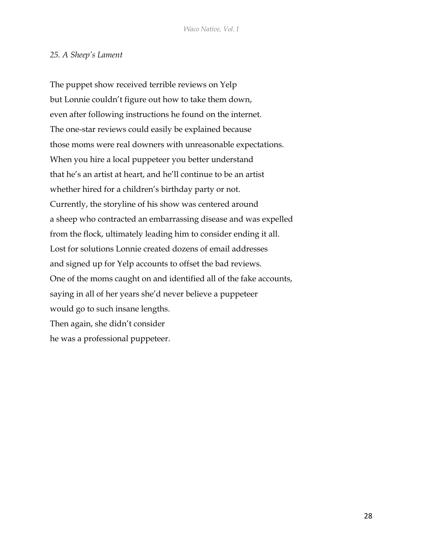# *25. A Sheep's Lament*

The puppet show received terrible reviews on Yelp but Lonnie couldn't figure out how to take them down, even after following instructions he found on the internet. The one-star reviews could easily be explained because those moms were real downers with unreasonable expectations. When you hire a local puppeteer you better understand that he's an artist at heart, and he'll continue to be an artist whether hired for a children's birthday party or not. Currently, the storyline of his show was centered around a sheep who contracted an embarrassing disease and was expelled from the flock, ultimately leading him to consider ending it all. Lost for solutions Lonnie created dozens of email addresses and signed up for Yelp accounts to offset the bad reviews. One of the moms caught on and identified all of the fake accounts, saying in all of her years she'd never believe a puppeteer would go to such insane lengths. Then again, she didn't consider he was a professional puppeteer.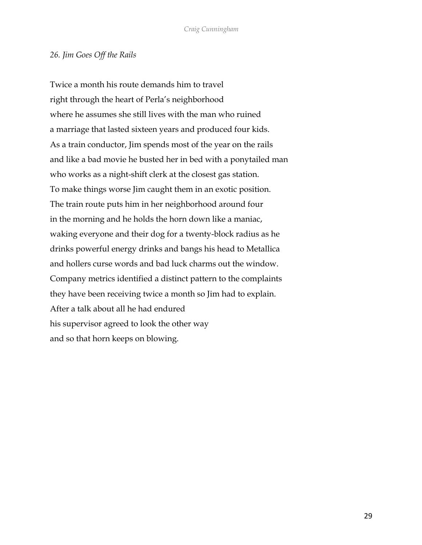#### *26. Jim Goes Off the Rails*

Twice a month his route demands him to travel right through the heart of Perla's neighborhood where he assumes she still lives with the man who ruined a marriage that lasted sixteen years and produced four kids. As a train conductor, Jim spends most of the year on the rails and like a bad movie he busted her in bed with a ponytailed man who works as a night-shift clerk at the closest gas station. To make things worse Jim caught them in an exotic position. The train route puts him in her neighborhood around four in the morning and he holds the horn down like a maniac, waking everyone and their dog for a twenty-block radius as he drinks powerful energy drinks and bangs his head to Metallica and hollers curse words and bad luck charms out the window. Company metrics identified a distinct pattern to the complaints they have been receiving twice a month so Jim had to explain. After a talk about all he had endured his supervisor agreed to look the other way and so that horn keeps on blowing.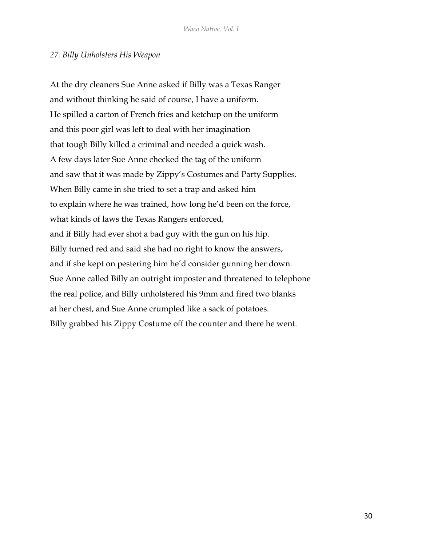## *27. Billy Unholsters His Weapon*

At the dry cleaners Sue Anne asked if Billy was a Texas Ranger and without thinking he said of course, I have a uniform. He spilled a carton of French fries and ketchup on the uniform and this poor girl was left to deal with her imagination that tough Billy killed a criminal and needed a quick wash. A few days later Sue Anne checked the tag of the uniform and saw that it was made by Zippy's Costumes and Party Supplies. When Billy came in she tried to set a trap and asked him to explain where he was trained, how long he'd been on the force, what kinds of laws the Texas Rangers enforced, and if Billy had ever shot a bad guy with the gun on his hip. Billy turned red and said she had no right to know the answers, and if she kept on pestering him he'd consider gunning her down. Sue Anne called Billy an outright imposter and threatened to telephone the real police, and Billy unholstered his 9mm and fired two blanks at her chest, and Sue Anne crumpled like a sack of potatoes. Billy grabbed his Zippy Costume off the counter and there he went.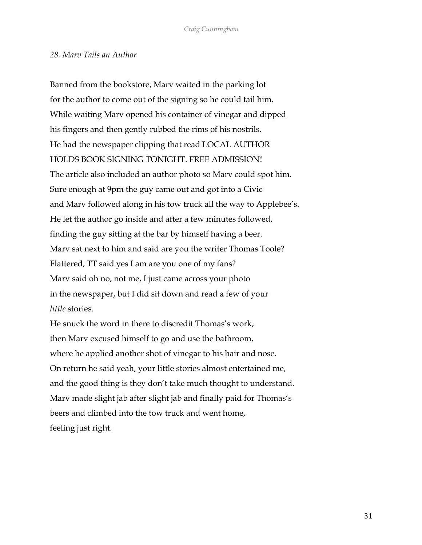#### *28. Marv Tails an Author*

Banned from the bookstore, Marv waited in the parking lot for the author to come out of the signing so he could tail him. While waiting Marv opened his container of vinegar and dipped his fingers and then gently rubbed the rims of his nostrils. He had the newspaper clipping that read LOCAL AUTHOR HOLDS BOOK SIGNING TONIGHT. FREE ADMISSION! The article also included an author photo so Marv could spot him. Sure enough at 9pm the guy came out and got into a Civic and Marv followed along in his tow truck all the way to Applebee's. He let the author go inside and after a few minutes followed, finding the guy sitting at the bar by himself having a beer. Marv sat next to him and said are you the writer Thomas Toole? Flattered, TT said yes I am are you one of my fans? Marv said oh no, not me, I just came across your photo in the newspaper, but I did sit down and read a few of your *little* stories.

He snuck the word in there to discredit Thomas's work, then Marv excused himself to go and use the bathroom, where he applied another shot of vinegar to his hair and nose. On return he said yeah, your little stories almost entertained me, and the good thing is they don't take much thought to understand. Marv made slight jab after slight jab and finally paid for Thomas's beers and climbed into the tow truck and went home, feeling just right.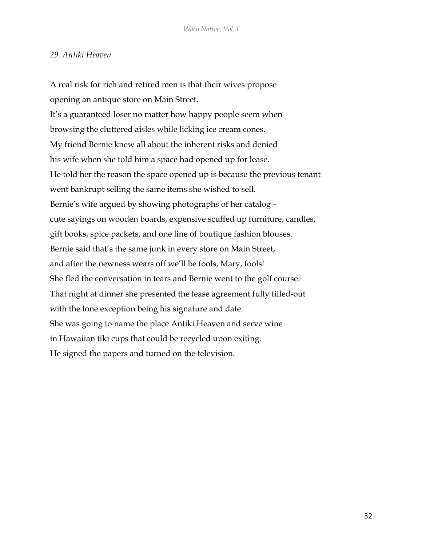# *29. Antiki Heaven*

A real risk for rich and retired men is that their wives propose opening an antique store on Main Street. It's a guaranteed loser no matter how happy people seem when browsing the cluttered aisles while licking ice cream cones. My friend Bernie knew all about the inherent risks and denied his wife when she told him a space had opened up for lease. He told her the reason the space opened up is because the previous tenant went bankrupt selling the same items she wished to sell. Bernie's wife argued by showing photographs of her catalog – cute sayings on wooden boards, expensive scuffed up furniture, candles, gift books, spice packets, and one line of boutique fashion blouses. Bernie said that's the same junk in every store on Main Street, and after the newness wears off we'll be fools, Mary, fools! She fled the conversation in tears and Bernie went to the golf course. That night at dinner she presented the lease agreement fully filled-out with the lone exception being his signature and date. She was going to name the place Antiki Heaven and serve wine in Hawaiian tiki cups that could be recycled upon exiting. He signed the papers and turned on the television.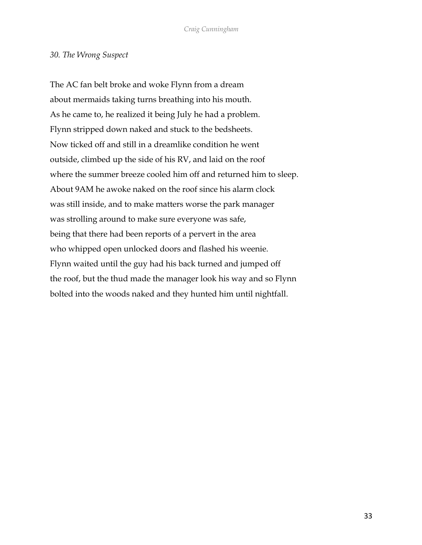## *30. The Wrong Suspect*

The AC fan belt broke and woke Flynn from a dream about mermaids taking turns breathing into his mouth. As he came to, he realized it being July he had a problem. Flynn stripped down naked and stuck to the bedsheets. Now ticked off and still in a dreamlike condition he went outside, climbed up the side of his RV, and laid on the roof where the summer breeze cooled him off and returned him to sleep. About 9AM he awoke naked on the roof since his alarm clock was still inside, and to make matters worse the park manager was strolling around to make sure everyone was safe, being that there had been reports of a pervert in the area who whipped open unlocked doors and flashed his weenie. Flynn waited until the guy had his back turned and jumped off the roof, but the thud made the manager look his way and so Flynn bolted into the woods naked and they hunted him until nightfall.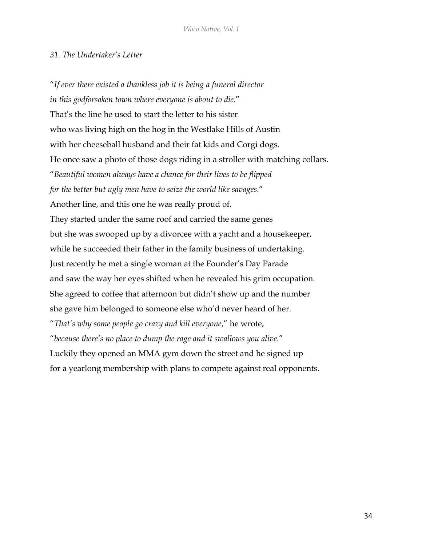# *31. The Undertaker's Letter*

"*If ever there existed a thankless job it is being a funeral director in this godforsaken town where everyone is about to die*." That's the line he used to start the letter to his sister who was living high on the hog in the Westlake Hills of Austin with her cheeseball husband and their fat kids and Corgi dogs. He once saw a photo of those dogs riding in a stroller with matching collars. "*Beautiful women always have a chance for their lives to be flipped for the better but ugly men have to seize the world like savages*." Another line, and this one he was really proud of. They started under the same roof and carried the same genes but she was swooped up by a divorcee with a yacht and a housekeeper, while he succeeded their father in the family business of undertaking. Just recently he met a single woman at the Founder's Day Parade and saw the way her eyes shifted when he revealed his grim occupation. She agreed to coffee that afternoon but didn't show up and the number she gave him belonged to someone else who'd never heard of her. "*That's why some people go crazy and kill everyone*," he wrote, "*because there's no place to dump the rage and it swallows you alive*." Luckily they opened an MMA gym down the street and he signed up for a yearlong membership with plans to compete against real opponents.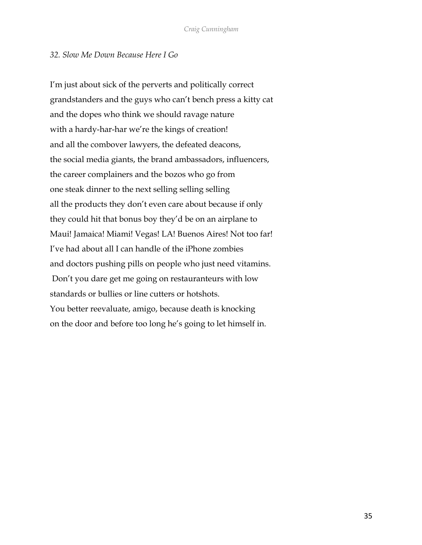## *32. Slow Me Down Because Here I Go*

I'm just about sick of the perverts and politically correct grandstanders and the guys who can't bench press a kitty cat and the dopes who think we should ravage nature with a hardy-har-har we're the kings of creation! and all the combover lawyers, the defeated deacons, the social media giants, the brand ambassadors, influencers, the career complainers and the bozos who go from one steak dinner to the next selling selling selling all the products they don't even care about because if only they could hit that bonus boy they'd be on an airplane to Maui! Jamaica! Miami! Vegas! LA! Buenos Aires! Not too far! I've had about all I can handle of the iPhone zombies and doctors pushing pills on people who just need vitamins. Don't you dare get me going on restauranteurs with low standards or bullies or line cutters or hotshots. You better reevaluate, amigo, because death is knocking on the door and before too long he's going to let himself in.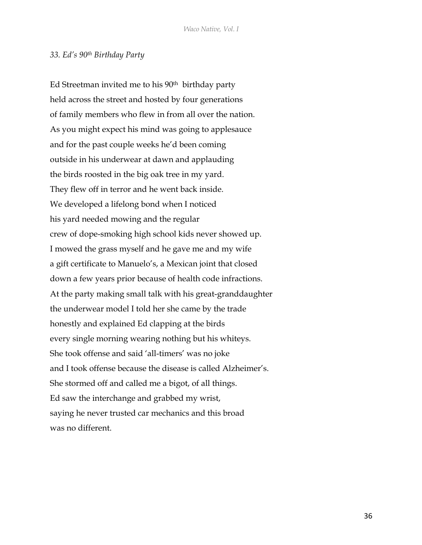#### *33. Ed's 90th Birthday Party*

Ed Streetman invited me to his  $90<sup>th</sup>$  birthday party held across the street and hosted by four generations of family members who flew in from all over the nation. As you might expect his mind was going to applesauce and for the past couple weeks he'd been coming outside in his underwear at dawn and applauding the birds roosted in the big oak tree in my yard. They flew off in terror and he went back inside. We developed a lifelong bond when I noticed his yard needed mowing and the regular crew of dope-smoking high school kids never showed up. I mowed the grass myself and he gave me and my wife a gift certificate to Manuelo's, a Mexican joint that closed down a few years prior because of health code infractions. At the party making small talk with his great-granddaughter the underwear model I told her she came by the trade honestly and explained Ed clapping at the birds every single morning wearing nothing but his whiteys. She took offense and said 'all-timers' was no joke and I took offense because the disease is called Alzheimer's. She stormed off and called me a bigot, of all things. Ed saw the interchange and grabbed my wrist, saying he never trusted car mechanics and this broad was no different.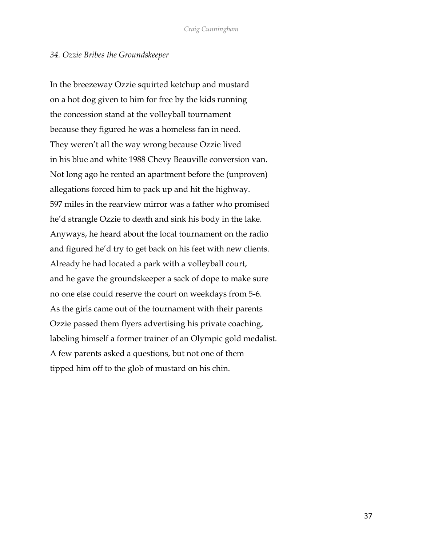#### *34. Ozzie Bribes the Groundskeeper*

In the breezeway Ozzie squirted ketchup and mustard on a hot dog given to him for free by the kids running the concession stand at the volleyball tournament because they figured he was a homeless fan in need. They weren't all the way wrong because Ozzie lived in his blue and white 1988 Chevy Beauville conversion van. Not long ago he rented an apartment before the (unproven) allegations forced him to pack up and hit the highway. 597 miles in the rearview mirror was a father who promised he'd strangle Ozzie to death and sink his body in the lake. Anyways, he heard about the local tournament on the radio and figured he'd try to get back on his feet with new clients. Already he had located a park with a volleyball court, and he gave the groundskeeper a sack of dope to make sure no one else could reserve the court on weekdays from 5-6. As the girls came out of the tournament with their parents Ozzie passed them flyers advertising his private coaching, labeling himself a former trainer of an Olympic gold medalist. A few parents asked a questions, but not one of them tipped him off to the glob of mustard on his chin.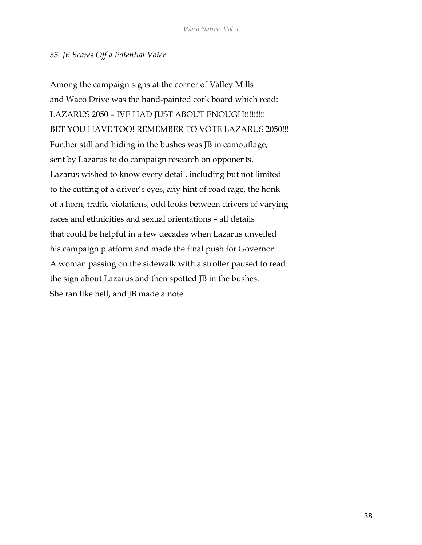## *35. JB Scares Off a Potential Voter*

Among the campaign signs at the corner of Valley Mills and Waco Drive was the hand-painted cork board which read: LAZARUS 2050 – IVE HAD JUST ABOUT ENOUGH!!!!!!!!! BET YOU HAVE TOO! REMEMBER TO VOTE LAZARUS 2050!!! Further still and hiding in the bushes was JB in camouflage, sent by Lazarus to do campaign research on opponents. Lazarus wished to know every detail, including but not limited to the cutting of a driver's eyes, any hint of road rage, the honk of a horn, traffic violations, odd looks between drivers of varying races and ethnicities and sexual orientations – all details that could be helpful in a few decades when Lazarus unveiled his campaign platform and made the final push for Governor. A woman passing on the sidewalk with a stroller paused to read the sign about Lazarus and then spotted JB in the bushes. She ran like hell, and JB made a note.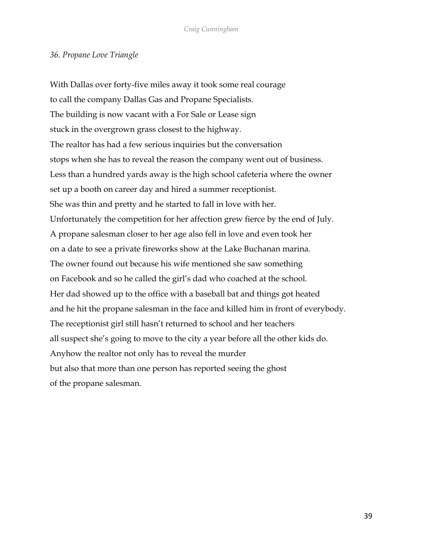## *36. Propane Love Triangle*

With Dallas over forty-five miles away it took some real courage to call the company Dallas Gas and Propane Specialists. The building is now vacant with a For Sale or Lease sign stuck in the overgrown grass closest to the highway. The realtor has had a few serious inquiries but the conversation stops when she has to reveal the reason the company went out of business. Less than a hundred yards away is the high school cafeteria where the owner set up a booth on career day and hired a summer receptionist. She was thin and pretty and he started to fall in love with her. Unfortunately the competition for her affection grew fierce by the end of July. A propane salesman closer to her age also fell in love and even took her on a date to see a private fireworks show at the Lake Buchanan marina. The owner found out because his wife mentioned she saw something on Facebook and so he called the girl's dad who coached at the school. Her dad showed up to the office with a baseball bat and things got heated and he hit the propane salesman in the face and killed him in front of everybody. The receptionist girl still hasn't returned to school and her teachers all suspect she's going to move to the city a year before all the other kids do. Anyhow the realtor not only has to reveal the murder but also that more than one person has reported seeing the ghost of the propane salesman.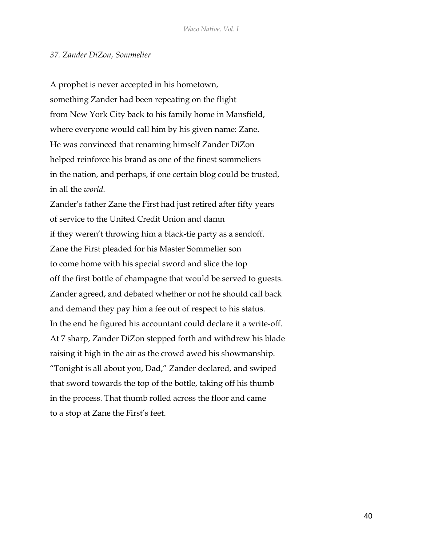#### *37. Zander DiZon, Sommelier*

A prophet is never accepted in his hometown, something Zander had been repeating on the flight from New York City back to his family home in Mansfield, where everyone would call him by his given name: Zane. He was convinced that renaming himself Zander DiZon helped reinforce his brand as one of the finest sommeliers in the nation, and perhaps, if one certain blog could be trusted, in all the *world*.

Zander's father Zane the First had just retired after fifty years of service to the United Credit Union and damn if they weren't throwing him a black-tie party as a sendoff. Zane the First pleaded for his Master Sommelier son to come home with his special sword and slice the top off the first bottle of champagne that would be served to guests. Zander agreed, and debated whether or not he should call back and demand they pay him a fee out of respect to his status. In the end he figured his accountant could declare it a write-off. At 7 sharp, Zander DiZon stepped forth and withdrew his blade raising it high in the air as the crowd awed his showmanship. "Tonight is all about you, Dad," Zander declared, and swiped that sword towards the top of the bottle, taking off his thumb in the process. That thumb rolled across the floor and came to a stop at Zane the First's feet.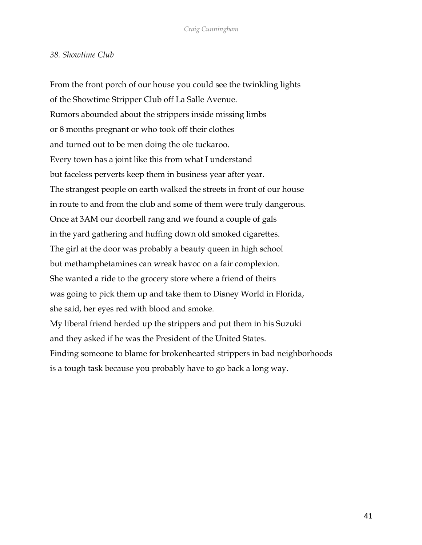## *38. Showtime Club*

From the front porch of our house you could see the twinkling lights of the Showtime Stripper Club off La Salle Avenue. Rumors abounded about the strippers inside missing limbs or 8 months pregnant or who took off their clothes and turned out to be men doing the ole tuckaroo. Every town has a joint like this from what I understand but faceless perverts keep them in business year after year. The strangest people on earth walked the streets in front of our house in route to and from the club and some of them were truly dangerous. Once at 3AM our doorbell rang and we found a couple of gals in the yard gathering and huffing down old smoked cigarettes. The girl at the door was probably a beauty queen in high school but methamphetamines can wreak havoc on a fair complexion. She wanted a ride to the grocery store where a friend of theirs was going to pick them up and take them to Disney World in Florida, she said, her eyes red with blood and smoke. My liberal friend herded up the strippers and put them in his Suzuki and they asked if he was the President of the United States. Finding someone to blame for brokenhearted strippers in bad neighborhoods is a tough task because you probably have to go back a long way.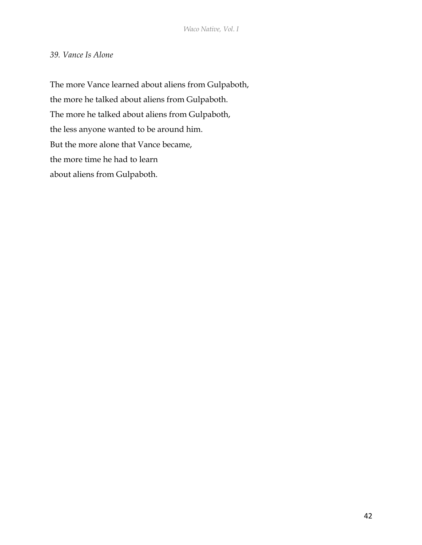# *39. Vance Is Alone*

The more Vance learned about aliens from Gulpaboth, the more he talked about aliens from Gulpaboth. The more he talked about aliens from Gulpaboth, the less anyone wanted to be around him. But the more alone that Vance became, the more time he had to learn about aliens from Gulpaboth.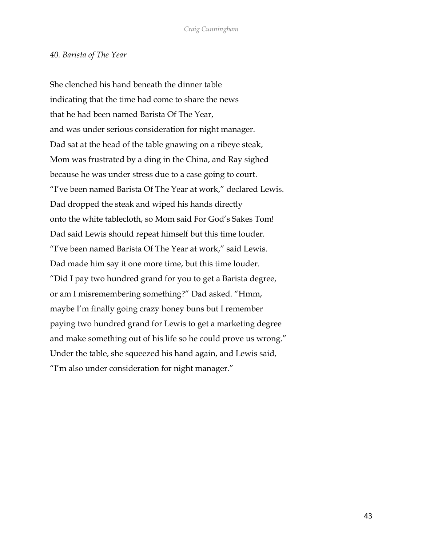#### *40. Barista of The Year*

She clenched his hand beneath the dinner table indicating that the time had come to share the news that he had been named Barista Of The Year, and was under serious consideration for night manager. Dad sat at the head of the table gnawing on a ribeye steak, Mom was frustrated by a ding in the China, and Ray sighed because he was under stress due to a case going to court. "I've been named Barista Of The Year at work," declared Lewis. Dad dropped the steak and wiped his hands directly onto the white tablecloth, so Mom said For God's Sakes Tom! Dad said Lewis should repeat himself but this time louder. "I've been named Barista Of The Year at work," said Lewis. Dad made him say it one more time, but this time louder. "Did I pay two hundred grand for you to get a Barista degree, or am I misremembering something?" Dad asked. "Hmm, maybe I'm finally going crazy honey buns but I remember paying two hundred grand for Lewis to get a marketing degree and make something out of his life so he could prove us wrong." Under the table, she squeezed his hand again, and Lewis said, "I'm also under consideration for night manager."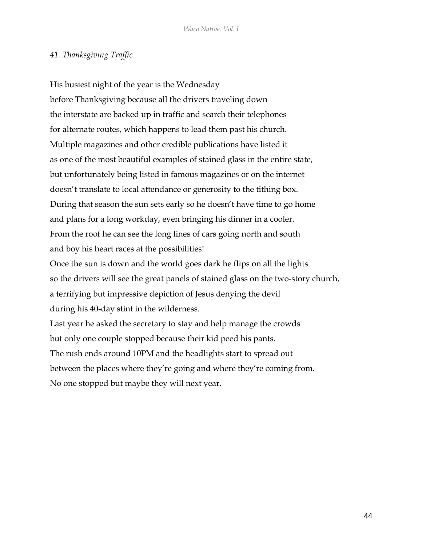# *41. Thanksgiving Traffic*

His busiest night of the year is the Wednesday before Thanksgiving because all the drivers traveling down the interstate are backed up in traffic and search their telephones for alternate routes, which happens to lead them past his church. Multiple magazines and other credible publications have listed it as one of the most beautiful examples of stained glass in the entire state, but unfortunately being listed in famous magazines or on the internet doesn't translate to local attendance or generosity to the tithing box. During that season the sun sets early so he doesn't have time to go home and plans for a long workday, even bringing his dinner in a cooler. From the roof he can see the long lines of cars going north and south and boy his heart races at the possibilities! Once the sun is down and the world goes dark he flips on all the lights so the drivers will see the great panels of stained glass on the two-story church, a terrifying but impressive depiction of Jesus denying the devil during his 40-day stint in the wilderness. Last year he asked the secretary to stay and help manage the crowds

but only one couple stopped because their kid peed his pants. The rush ends around 10PM and the headlights start to spread out between the places where they're going and where they're coming from. No one stopped but maybe they will next year.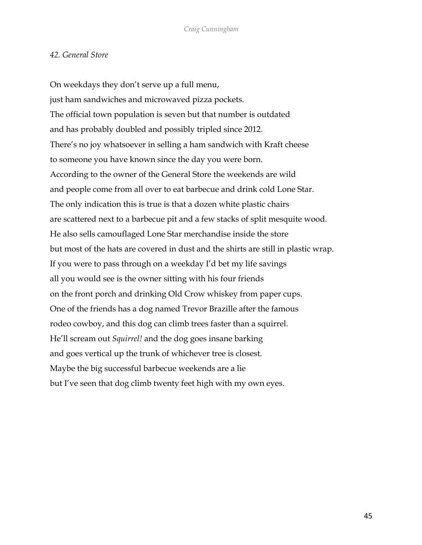# *42. General Store*

On weekdays they don't serve up a full menu, just ham sandwiches and microwaved pizza pockets. The official town population is seven but that number is outdated and has probably doubled and possibly tripled since 2012. There's no joy whatsoever in selling a ham sandwich with Kraft cheese to someone you have known since the day you were born. According to the owner of the General Store the weekends are wild and people come from all over to eat barbecue and drink cold Lone Star. The only indication this is true is that a dozen white plastic chairs are scattered next to a barbecue pit and a few stacks of split mesquite wood. He also sells camouflaged Lone Star merchandise inside the store but most of the hats are covered in dust and the shirts are still in plastic wrap. If you were to pass through on a weekday I'd bet my life savings all you would see is the owner sitting with his four friends on the front porch and drinking Old Crow whiskey from paper cups. One of the friends has a dog named Trevor Brazille after the famous rodeo cowboy, and this dog can climb trees faster than a squirrel. He'll scream out *Squirrel!* and the dog goes insane barking and goes vertical up the trunk of whichever tree is closest. Maybe the big successful barbecue weekends are a lie but I've seen that dog climb twenty feet high with my own eyes.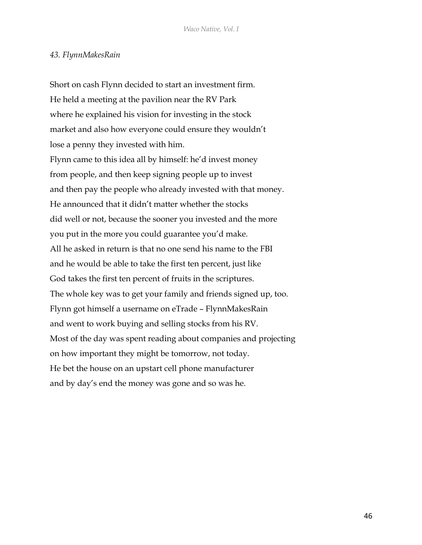## *43. FlynnMakesRain*

Short on cash Flynn decided to start an investment firm. He held a meeting at the pavilion near the RV Park where he explained his vision for investing in the stock market and also how everyone could ensure they wouldn't lose a penny they invested with him. Flynn came to this idea all by himself: he'd invest money from people, and then keep signing people up to invest and then pay the people who already invested with that money. He announced that it didn't matter whether the stocks did well or not, because the sooner you invested and the more you put in the more you could guarantee you'd make. All he asked in return is that no one send his name to the FBI and he would be able to take the first ten percent, just like God takes the first ten percent of fruits in the scriptures. The whole key was to get your family and friends signed up, too. Flynn got himself a username on eTrade – FlynnMakesRain and went to work buying and selling stocks from his RV. Most of the day was spent reading about companies and projecting on how important they might be tomorrow, not today. He bet the house on an upstart cell phone manufacturer and by day's end the money was gone and so was he.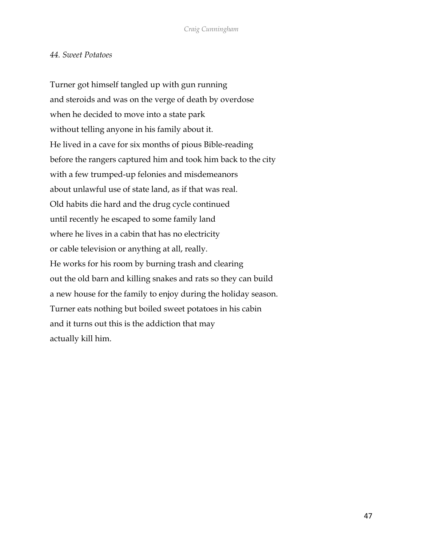#### *44. Sweet Potatoes*

Turner got himself tangled up with gun running and steroids and was on the verge of death by overdose when he decided to move into a state park without telling anyone in his family about it. He lived in a cave for six months of pious Bible-reading before the rangers captured him and took him back to the city with a few trumped-up felonies and misdemeanors about unlawful use of state land, as if that was real. Old habits die hard and the drug cycle continued until recently he escaped to some family land where he lives in a cabin that has no electricity or cable television or anything at all, really. He works for his room by burning trash and clearing out the old barn and killing snakes and rats so they can build a new house for the family to enjoy during the holiday season. Turner eats nothing but boiled sweet potatoes in his cabin and it turns out this is the addiction that may actually kill him.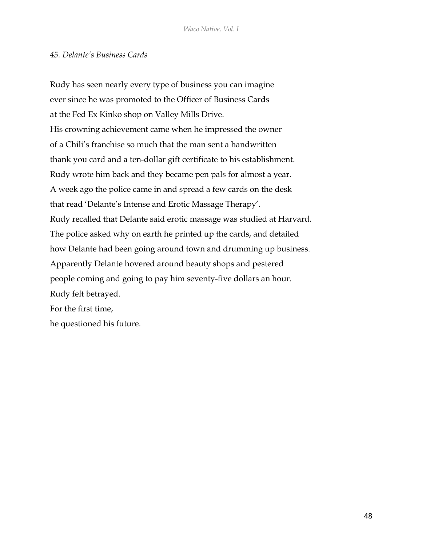# *45. Delante's Business Cards*

Rudy has seen nearly every type of business you can imagine ever since he was promoted to the Officer of Business Cards at the Fed Ex Kinko shop on Valley Mills Drive. His crowning achievement came when he impressed the owner of a Chili's franchise so much that the man sent a handwritten thank you card and a ten-dollar gift certificate to his establishment. Rudy wrote him back and they became pen pals for almost a year. A week ago the police came in and spread a few cards on the desk that read 'Delante's Intense and Erotic Massage Therapy'. Rudy recalled that Delante said erotic massage was studied at Harvard. The police asked why on earth he printed up the cards, and detailed how Delante had been going around town and drumming up business. Apparently Delante hovered around beauty shops and pestered people coming and going to pay him seventy-five dollars an hour. Rudy felt betrayed. For the first time, he questioned his future.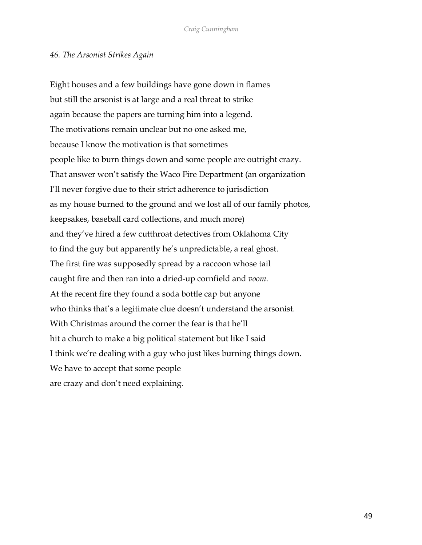## *46. The Arsonist Strikes Again*

Eight houses and a few buildings have gone down in flames but still the arsonist is at large and a real threat to strike again because the papers are turning him into a legend. The motivations remain unclear but no one asked me, because I know the motivation is that sometimes people like to burn things down and some people are outright crazy. That answer won't satisfy the Waco Fire Department (an organization I'll never forgive due to their strict adherence to jurisdiction as my house burned to the ground and we lost all of our family photos, keepsakes, baseball card collections, and much more) and they've hired a few cutthroat detectives from Oklahoma City to find the guy but apparently he's unpredictable, a real ghost. The first fire was supposedly spread by a raccoon whose tail caught fire and then ran into a dried-up cornfield and *voom*. At the recent fire they found a soda bottle cap but anyone who thinks that's a legitimate clue doesn't understand the arsonist. With Christmas around the corner the fear is that he'll hit a church to make a big political statement but like I said I think we're dealing with a guy who just likes burning things down. We have to accept that some people are crazy and don't need explaining.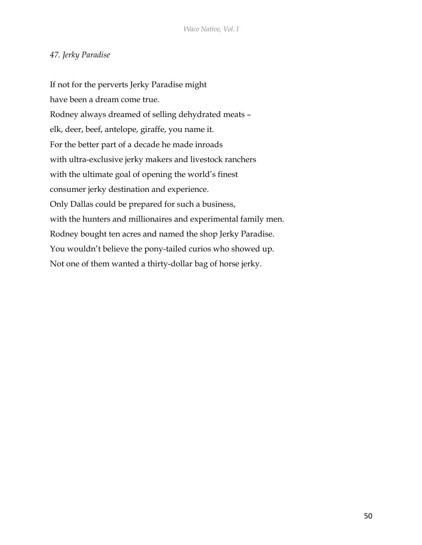# *47. Jerky Paradise*

If not for the perverts Jerky Paradise might have been a dream come true. Rodney always dreamed of selling dehydrated meats – elk, deer, beef, antelope, giraffe, you name it. For the better part of a decade he made inroads with ultra-exclusive jerky makers and livestock ranchers with the ultimate goal of opening the world's finest consumer jerky destination and experience. Only Dallas could be prepared for such a business, with the hunters and millionaires and experimental family men. Rodney bought ten acres and named the shop Jerky Paradise. You wouldn't believe the pony-tailed curios who showed up. Not one of them wanted a thirty-dollar bag of horse jerky.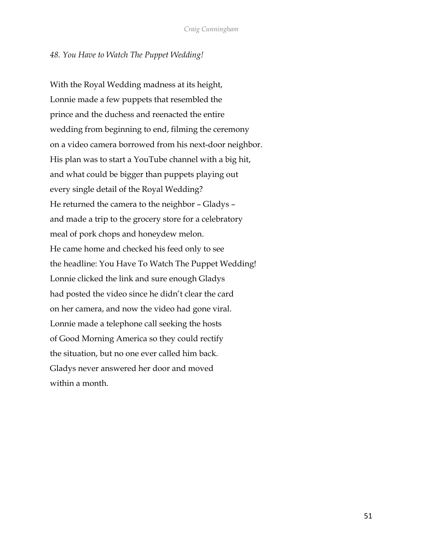#### *48. You Have to Watch The Puppet Wedding!*

With the Royal Wedding madness at its height, Lonnie made a few puppets that resembled the prince and the duchess and reenacted the entire wedding from beginning to end, filming the ceremony on a video camera borrowed from his next-door neighbor. His plan was to start a YouTube channel with a big hit, and what could be bigger than puppets playing out every single detail of the Royal Wedding? He returned the camera to the neighbor – Gladys – and made a trip to the grocery store for a celebratory meal of pork chops and honeydew melon. He came home and checked his feed only to see the headline: You Have To Watch The Puppet Wedding! Lonnie clicked the link and sure enough Gladys had posted the video since he didn't clear the card on her camera, and now the video had gone viral. Lonnie made a telephone call seeking the hosts of Good Morning America so they could rectify the situation, but no one ever called him back. Gladys never answered her door and moved within a month.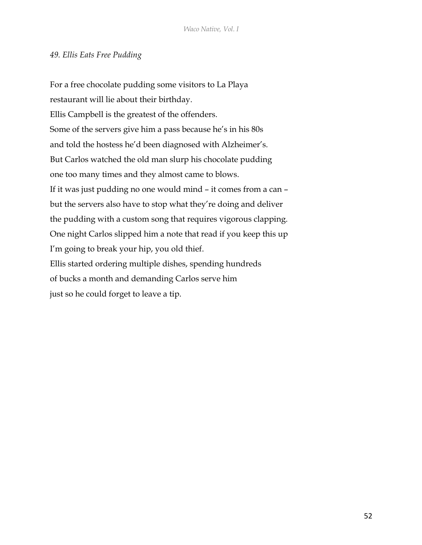# *49. Ellis Eats Free Pudding*

For a free chocolate pudding some visitors to La Playa restaurant will lie about their birthday. Ellis Campbell is the greatest of the offenders. Some of the servers give him a pass because he's in his 80s and told the hostess he'd been diagnosed with Alzheimer's. But Carlos watched the old man slurp his chocolate pudding one too many times and they almost came to blows. If it was just pudding no one would mind – it comes from a can – but the servers also have to stop what they're doing and deliver the pudding with a custom song that requires vigorous clapping. One night Carlos slipped him a note that read if you keep this up I'm going to break your hip, you old thief. Ellis started ordering multiple dishes, spending hundreds of bucks a month and demanding Carlos serve him just so he could forget to leave a tip.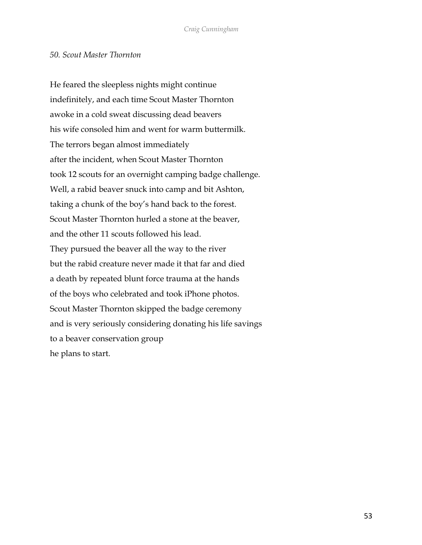#### *50. Scout Master Thornton*

He feared the sleepless nights might continue indefinitely, and each time Scout Master Thornton awoke in a cold sweat discussing dead beavers his wife consoled him and went for warm buttermilk. The terrors began almost immediately after the incident, when Scout Master Thornton took 12 scouts for an overnight camping badge challenge. Well, a rabid beaver snuck into camp and bit Ashton, taking a chunk of the boy's hand back to the forest. Scout Master Thornton hurled a stone at the beaver, and the other 11 scouts followed his lead. They pursued the beaver all the way to the river but the rabid creature never made it that far and died a death by repeated blunt force trauma at the hands of the boys who celebrated and took iPhone photos. Scout Master Thornton skipped the badge ceremony and is very seriously considering donating his life savings to a beaver conservation group he plans to start.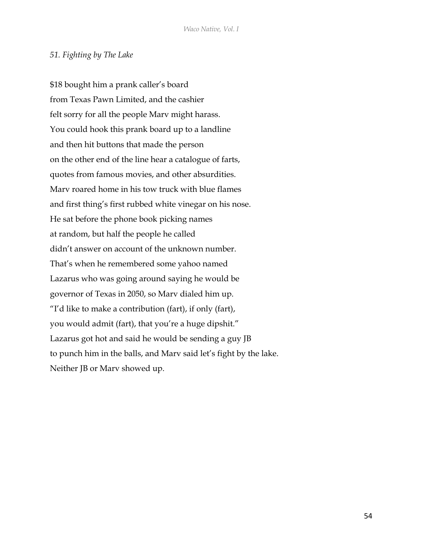#### *51. Fighting by The Lake*

\$18 bought him a prank caller's board from Texas Pawn Limited, and the cashier felt sorry for all the people Marv might harass. You could hook this prank board up to a landline and then hit buttons that made the person on the other end of the line hear a catalogue of farts, quotes from famous movies, and other absurdities. Marv roared home in his tow truck with blue flames and first thing's first rubbed white vinegar on his nose. He sat before the phone book picking names at random, but half the people he called didn't answer on account of the unknown number. That's when he remembered some yahoo named Lazarus who was going around saying he would be governor of Texas in 2050, so Marv dialed him up. "I'd like to make a contribution (fart), if only (fart), you would admit (fart), that you're a huge dipshit." Lazarus got hot and said he would be sending a guy JB to punch him in the balls, and Marv said let's fight by the lake. Neither JB or Marv showed up.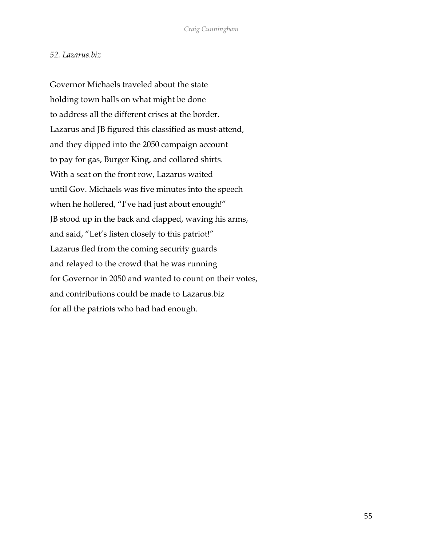#### *52. Lazarus.biz*

Governor Michaels traveled about the state holding town halls on what might be done to address all the different crises at the border. Lazarus and JB figured this classified as must-attend, and they dipped into the 2050 campaign account to pay for gas, Burger King, and collared shirts. With a seat on the front row, Lazarus waited until Gov. Michaels was five minutes into the speech when he hollered, "I've had just about enough!" JB stood up in the back and clapped, waving his arms, and said, "Let's listen closely to this patriot!" Lazarus fled from the coming security guards and relayed to the crowd that he was running for Governor in 2050 and wanted to count on their votes, and contributions could be made to Lazarus.biz for all the patriots who had had enough.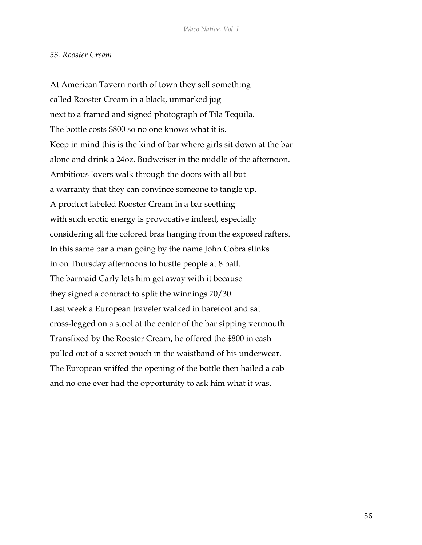#### *53. Rooster Cream*

At American Tavern north of town they sell something called Rooster Cream in a black, unmarked jug next to a framed and signed photograph of Tila Tequila. The bottle costs \$800 so no one knows what it is. Keep in mind this is the kind of bar where girls sit down at the bar alone and drink a 24oz. Budweiser in the middle of the afternoon. Ambitious lovers walk through the doors with all but a warranty that they can convince someone to tangle up. A product labeled Rooster Cream in a bar seething with such erotic energy is provocative indeed, especially considering all the colored bras hanging from the exposed rafters. In this same bar a man going by the name John Cobra slinks in on Thursday afternoons to hustle people at 8 ball. The barmaid Carly lets him get away with it because they signed a contract to split the winnings 70/30. Last week a European traveler walked in barefoot and sat cross-legged on a stool at the center of the bar sipping vermouth. Transfixed by the Rooster Cream, he offered the \$800 in cash pulled out of a secret pouch in the waistband of his underwear. The European sniffed the opening of the bottle then hailed a cab and no one ever had the opportunity to ask him what it was.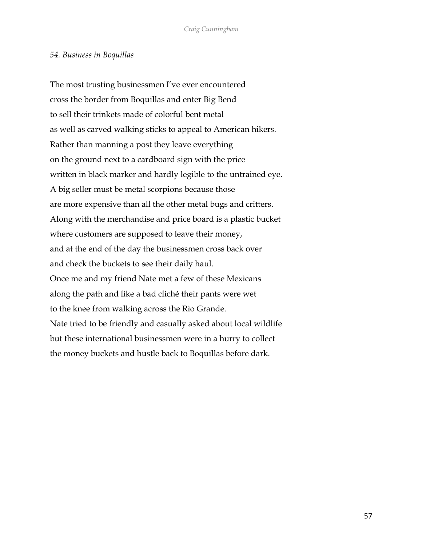#### *54. Business in Boquillas*

The most trusting businessmen I've ever encountered cross the border from Boquillas and enter Big Bend to sell their trinkets made of colorful bent metal as well as carved walking sticks to appeal to American hikers. Rather than manning a post they leave everything on the ground next to a cardboard sign with the price written in black marker and hardly legible to the untrained eye. A big seller must be metal scorpions because those are more expensive than all the other metal bugs and critters. Along with the merchandise and price board is a plastic bucket where customers are supposed to leave their money, and at the end of the day the businessmen cross back over and check the buckets to see their daily haul. Once me and my friend Nate met a few of these Mexicans along the path and like a bad cliché their pants were wet to the knee from walking across the Rio Grande. Nate tried to be friendly and casually asked about local wildlife but these international businessmen were in a hurry to collect the money buckets and hustle back to Boquillas before dark.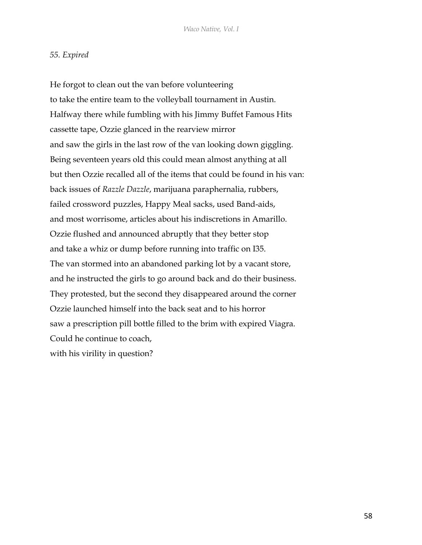## *55. Expired*

He forgot to clean out the van before volunteering to take the entire team to the volleyball tournament in Austin. Halfway there while fumbling with his Jimmy Buffet Famous Hits cassette tape, Ozzie glanced in the rearview mirror and saw the girls in the last row of the van looking down giggling. Being seventeen years old this could mean almost anything at all but then Ozzie recalled all of the items that could be found in his van: back issues of *Razzle Dazzle*, marijuana paraphernalia, rubbers, failed crossword puzzles, Happy Meal sacks, used Band-aids, and most worrisome, articles about his indiscretions in Amarillo. Ozzie flushed and announced abruptly that they better stop and take a whiz or dump before running into traffic on I35. The van stormed into an abandoned parking lot by a vacant store, and he instructed the girls to go around back and do their business. They protested, but the second they disappeared around the corner Ozzie launched himself into the back seat and to his horror saw a prescription pill bottle filled to the brim with expired Viagra. Could he continue to coach, with his virility in question?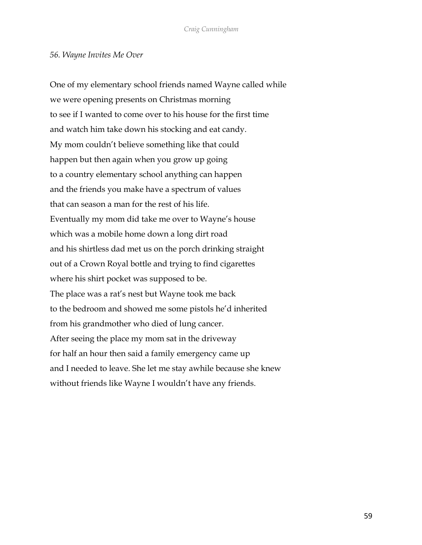## *56. Wayne Invites Me Over*

One of my elementary school friends named Wayne called while we were opening presents on Christmas morning to see if I wanted to come over to his house for the first time and watch him take down his stocking and eat candy. My mom couldn't believe something like that could happen but then again when you grow up going to a country elementary school anything can happen and the friends you make have a spectrum of values that can season a man for the rest of his life. Eventually my mom did take me over to Wayne's house which was a mobile home down a long dirt road and his shirtless dad met us on the porch drinking straight out of a Crown Royal bottle and trying to find cigarettes where his shirt pocket was supposed to be. The place was a rat's nest but Wayne took me back to the bedroom and showed me some pistols he'd inherited from his grandmother who died of lung cancer. After seeing the place my mom sat in the driveway for half an hour then said a family emergency came up and I needed to leave. She let me stay awhile because she knew without friends like Wayne I wouldn't have any friends.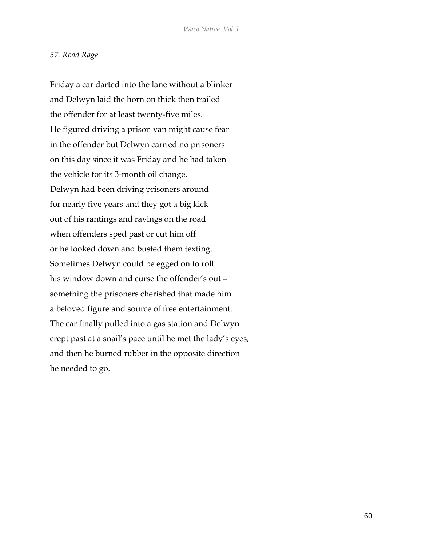#### *57. Road Rage*

Friday a car darted into the lane without a blinker and Delwyn laid the horn on thick then trailed the offender for at least twenty-five miles. He figured driving a prison van might cause fear in the offender but Delwyn carried no prisoners on this day since it was Friday and he had taken the vehicle for its 3-month oil change. Delwyn had been driving prisoners around for nearly five years and they got a big kick out of his rantings and ravings on the road when offenders sped past or cut him off or he looked down and busted them texting. Sometimes Delwyn could be egged on to roll his window down and curse the offender's out – something the prisoners cherished that made him a beloved figure and source of free entertainment. The car finally pulled into a gas station and Delwyn crept past at a snail's pace until he met the lady's eyes, and then he burned rubber in the opposite direction he needed to go.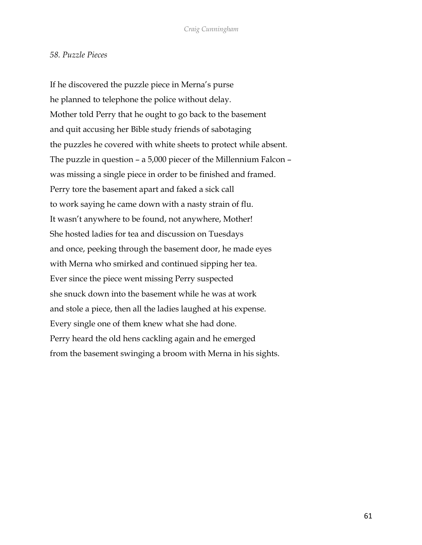#### *58. Puzzle Pieces*

If he discovered the puzzle piece in Merna's purse he planned to telephone the police without delay. Mother told Perry that he ought to go back to the basement and quit accusing her Bible study friends of sabotaging the puzzles he covered with white sheets to protect while absent. The puzzle in question – a 5,000 piecer of the Millennium Falcon – was missing a single piece in order to be finished and framed. Perry tore the basement apart and faked a sick call to work saying he came down with a nasty strain of flu. It wasn't anywhere to be found, not anywhere, Mother! She hosted ladies for tea and discussion on Tuesdays and once, peeking through the basement door, he made eyes with Merna who smirked and continued sipping her tea. Ever since the piece went missing Perry suspected she snuck down into the basement while he was at work and stole a piece, then all the ladies laughed at his expense. Every single one of them knew what she had done. Perry heard the old hens cackling again and he emerged from the basement swinging a broom with Merna in his sights.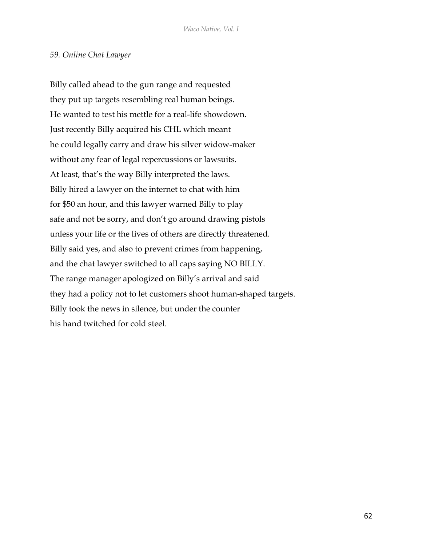#### *59. Online Chat Lawyer*

Billy called ahead to the gun range and requested they put up targets resembling real human beings. He wanted to test his mettle for a real-life showdown. Just recently Billy acquired his CHL which meant he could legally carry and draw his silver widow-maker without any fear of legal repercussions or lawsuits. At least, that's the way Billy interpreted the laws. Billy hired a lawyer on the internet to chat with him for \$50 an hour, and this lawyer warned Billy to play safe and not be sorry, and don't go around drawing pistols unless your life or the lives of others are directly threatened. Billy said yes, and also to prevent crimes from happening, and the chat lawyer switched to all caps saying NO BILLY. The range manager apologized on Billy's arrival and said they had a policy not to let customers shoot human-shaped targets. Billy took the news in silence, but under the counter his hand twitched for cold steel.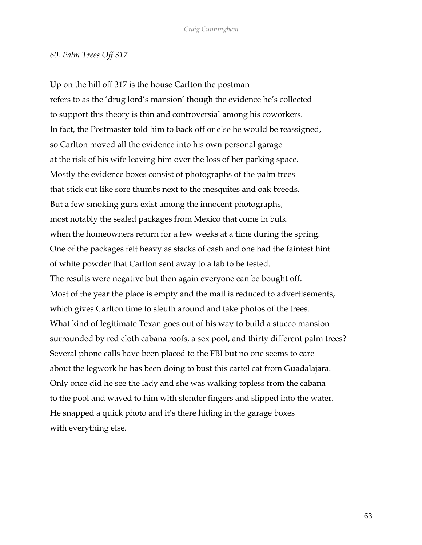#### *60. Palm Trees Off 317*

Up on the hill off 317 is the house Carlton the postman refers to as the 'drug lord's mansion' though the evidence he's collected to support this theory is thin and controversial among his coworkers. In fact, the Postmaster told him to back off or else he would be reassigned, so Carlton moved all the evidence into his own personal garage at the risk of his wife leaving him over the loss of her parking space. Mostly the evidence boxes consist of photographs of the palm trees that stick out like sore thumbs next to the mesquites and oak breeds. But a few smoking guns exist among the innocent photographs, most notably the sealed packages from Mexico that come in bulk when the homeowners return for a few weeks at a time during the spring. One of the packages felt heavy as stacks of cash and one had the faintest hint of white powder that Carlton sent away to a lab to be tested. The results were negative but then again everyone can be bought off. Most of the year the place is empty and the mail is reduced to advertisements, which gives Carlton time to sleuth around and take photos of the trees. What kind of legitimate Texan goes out of his way to build a stucco mansion surrounded by red cloth cabana roofs, a sex pool, and thirty different palm trees? Several phone calls have been placed to the FBI but no one seems to care about the legwork he has been doing to bust this cartel cat from Guadalajara. Only once did he see the lady and she was walking topless from the cabana to the pool and waved to him with slender fingers and slipped into the water. He snapped a quick photo and it's there hiding in the garage boxes with everything else.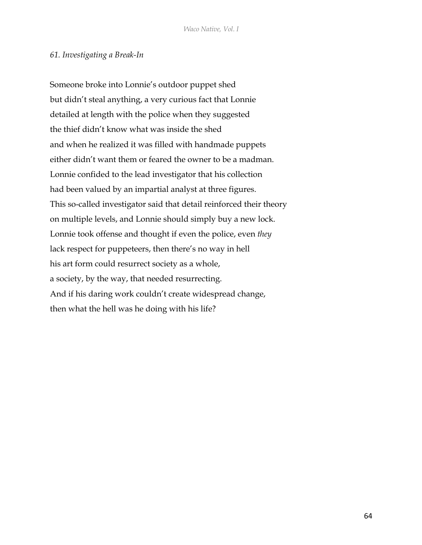## *61. Investigating a Break-In*

Someone broke into Lonnie's outdoor puppet shed but didn't steal anything, a very curious fact that Lonnie detailed at length with the police when they suggested the thief didn't know what was inside the shed and when he realized it was filled with handmade puppets either didn't want them or feared the owner to be a madman. Lonnie confided to the lead investigator that his collection had been valued by an impartial analyst at three figures. This so-called investigator said that detail reinforced their theory on multiple levels, and Lonnie should simply buy a new lock. Lonnie took offense and thought if even the police, even *they* lack respect for puppeteers, then there's no way in hell his art form could resurrect society as a whole, a society, by the way, that needed resurrecting. And if his daring work couldn't create widespread change, then what the hell was he doing with his life?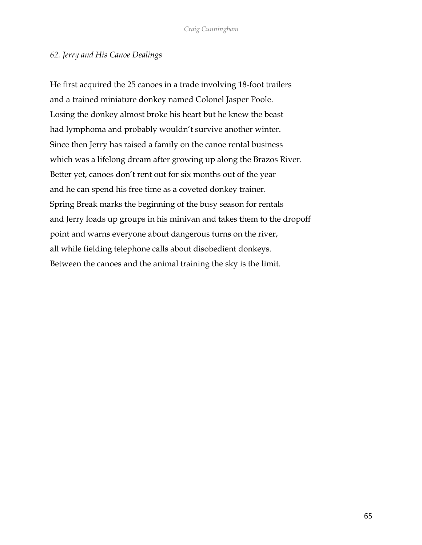# *62. Jerry and His Canoe Dealings*

He first acquired the 25 canoes in a trade involving 18-foot trailers and a trained miniature donkey named Colonel Jasper Poole. Losing the donkey almost broke his heart but he knew the beast had lymphoma and probably wouldn't survive another winter. Since then Jerry has raised a family on the canoe rental business which was a lifelong dream after growing up along the Brazos River. Better yet, canoes don't rent out for six months out of the year and he can spend his free time as a coveted donkey trainer. Spring Break marks the beginning of the busy season for rentals and Jerry loads up groups in his minivan and takes them to the dropoff point and warns everyone about dangerous turns on the river, all while fielding telephone calls about disobedient donkeys. Between the canoes and the animal training the sky is the limit.